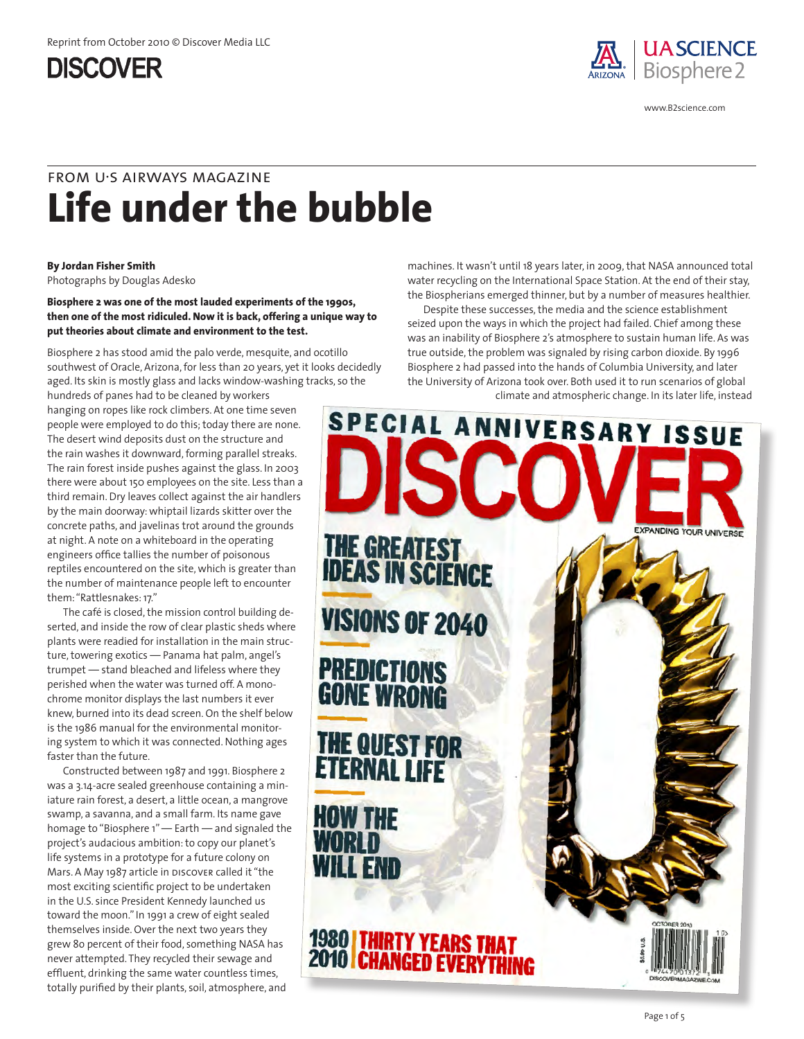

www.B2science.com

# **Life under the bubble** from u•s airways magazine

#### **By Jordan Fisher Smith**

Photographs by Douglas Adesko

**Biosphere 2 was one of the most lauded experiments of the 1990s, then one of the most ridiculed. Now it is back, offering a unique way to put theories about climate and environment to the test.**

Biosphere 2 has stood amid the palo verde, mesquite, and ocotillo southwest of Oracle, Arizona, for less than 20 years, yet it looks decidedly aged. Its skin is mostly glass and lacks window-washing tracks, so the hundreds of panes had to be cleaned by workers

hanging on ropes like rock climbers. At one time seven people were employed to do this; today there are none. The desert wind deposits dust on the structure and the rain washes it downward, forming parallel streaks. The rain forest inside pushes against the glass. In 2003 there were about 150 employees on the site. Less than a third remain. Dry leaves collect against the air handlers by the main doorway: whiptail lizards skitter over the concrete paths, and javelinas trot around the grounds at night. A note on a whiteboard in the operating engineers office tallies the number of poisonous reptiles encountered on the site, which is greater than the number of maintenance people left to encounter them: "Rattlesnakes: 17."

The café is closed, the mission control building deserted, and inside the row of clear plastic sheds where plants were readied for installation in the main structure, towering exotics — Panama hat palm, angel's trumpet — stand bleached and lifeless where they perished when the water was turned off. A monochrome monitor displays the last numbers it ever knew, burned into its dead screen. On the shelf below is the 1986 manual for the environmental monitoring system to which it was connected. Nothing ages faster than the future.

Constructed between 1987 and 1991. Biosphere 2 was a 3.14-acre sealed greenhouse containing a miniature rain forest, a desert, a little ocean, a mangrove swamp, a savanna, and a small farm. Its name gave homage to "Biosphere 1" — Earth — and signaled the project's audacious ambition: to copy our planet's life systems in a prototype for a future colony on Mars. A May 1987 article in DISCOVER called it "the most exciting scientific project to be undertaken in the U.S. since President Kennedy launched us toward the moon." In 1991 a crew of eight sealed themselves inside. Over the next two years they grew 8o percent of their food, something NASA has never attempted. They recycled their sewage and effluent, drinking the same water countless times, totally purified by their plants, soil, atmosphere, and

machines. It wasn't until 18 years later, in 2009, that NASA announced total water recycling on the International Space Station. At the end of their stay, the Biospherians emerged thinner, but by a number of measures healthier.

Despite these successes, the media and the science establishment seized upon the ways in which the project had failed. Chief among these was an inability of Biosphere 2's atmosphere to sustain human life. As was true outside, the problem was signaled by rising carbon dioxide. By 1996 Biosphere 2 had passed into the hands of Columbia University, and later the University of Arizona took over. Both used it to run scenarios of global climate and atmospheric change. In its later life, instead

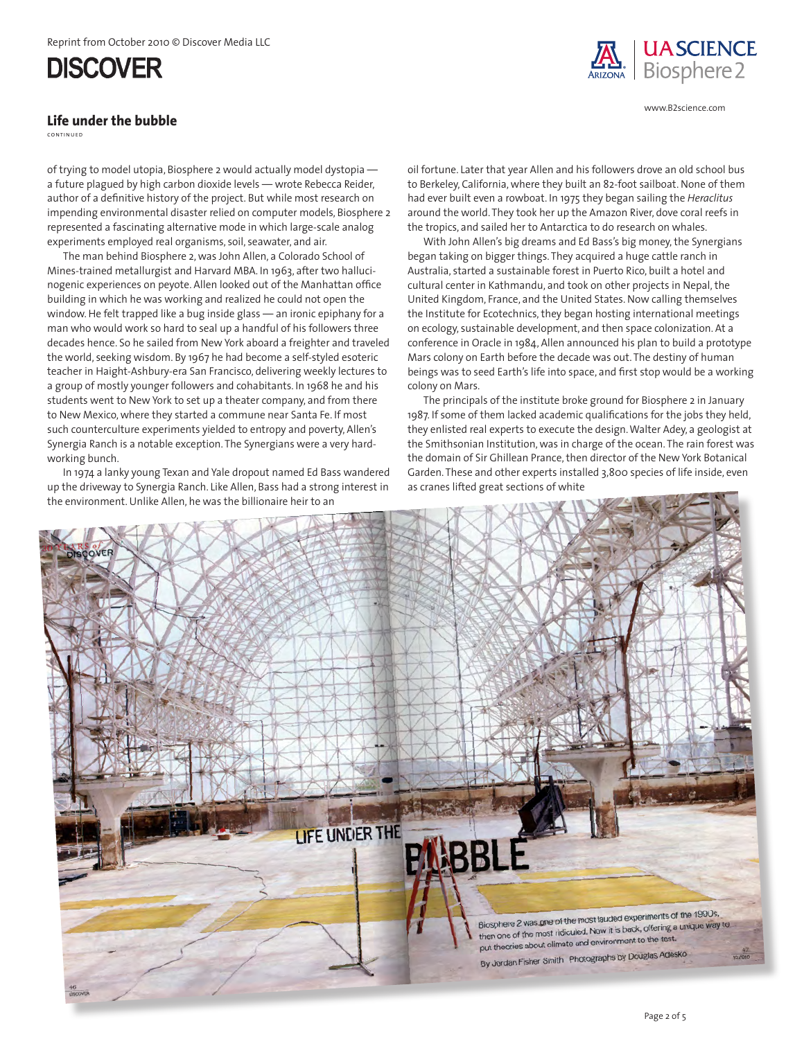### **Life under the bubble**

continued

of trying to model utopia, Biosphere 2 would actually model dystopia a future plagued by high carbon dioxide levels — wrote Rebecca Reider, author of a definitive history of the project. But while most research on impending environmental disaster relied on computer models, Biosphere 2 represented a fascinating alternative mode in which large-scale analog experiments employed real organisms, soil, seawater, and air.

The man behind Biosphere 2, was John Allen, a Colorado School of Mines-trained metallurgist and Harvard MBA. In 1963, after two hallucinogenic experiences on peyote. Allen looked out of the Manhattan office building in which he was working and realized he could not open the window. He felt trapped like a bug inside glass — an ironic epiphany for a man who would work so hard to seal up a handful of his followers three decades hence. So he sailed from New York aboard a freighter and traveled the world, seeking wisdom. By 1967 he had become a self-styled esoteric teacher in Haight-Ashbury-era San Francisco, delivering weekly lectures to a group of mostly younger followers and cohabitants. In 1968 he and his students went to New York to set up a theater company, and from there to New Mexico, where they started a commune near Santa Fe. If most such counterculture experiments yielded to entropy and poverty, Allen's Synergia Ranch is a notable exception. The Synergians were a very hardworking bunch.

In 1974 a lanky young Texan and Yale dropout named Ed Bass wandered up the driveway to Synergia Ranch. Like Allen, Bass had a strong interest in the environment. Unlike Allen, he was the billionaire heir to an

oil fortune. Later that year Allen and his followers drove an old school bus to Berkeley, California, where they built an 82-foot sailboat. None of them had ever built even a rowboat. In 1975 they began sailing the *Heraclitus* around the world. They took her up the Amazon River, dove coral reefs in

With John Allen's big dreams and Ed Bass's big money, the Synergians began taking on bigger things. They acquired a huge cattle ranch in Australia, started a sustainable forest in Puerto Rico, built a hotel and cultural center in Kathmandu, and took on other projects in Nepal, the United Kingdom, France, and the United States. Now calling themselves the Institute for Ecotechnics, they began hosting international meetings on ecology, sustainable development, and then space colonization. At a conference in Oracle in 1984, Allen announced his plan to build a prototype Mars colony on Earth before the decade was out. The destiny of human beings was to seed Earth's life into space, and first stop would be a working colony on Mars.

The principals of the institute broke ground for Biosphere 2 in January 1987. If some of them lacked academic qualifications for the jobs they held, they enlisted real experts to execute the design. Walter Adey, a geologist at the Smithsonian Institution, was in charge of the ocean. The rain forest was the domain of Sir Ghillean Prance, then director of the New York Botanical Garden. These and other experts installed 3,800 species of life inside, even as cranes lifted great sections of white



the tropics, and sailed her to Antarctica to do research on whales.



www.B2science.com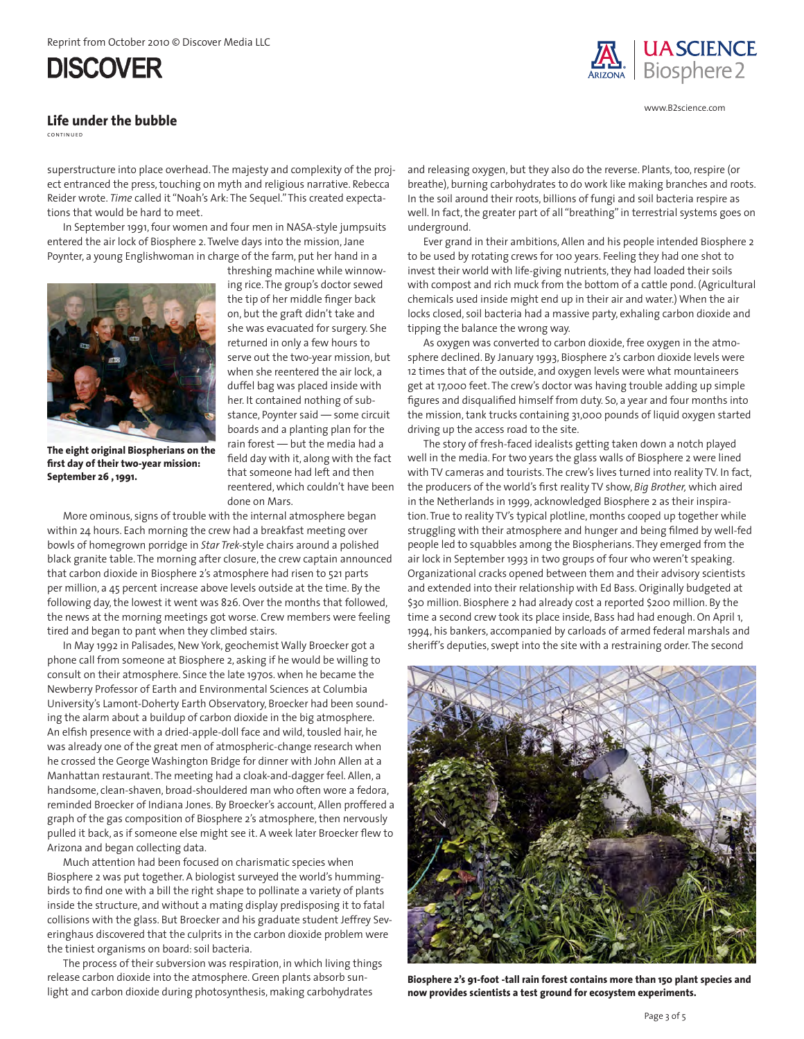#### **Life under the bubble**

continued

superstructure into place overhead. The majesty and complexity of the project entranced the press, touching on myth and religious narrative. Rebecca Reider wrote. *Time* called it "Noah's Ark: The Sequel." This created expectations that would be hard to meet.

In September 1991, four women and four men in NASA-style jumpsuits entered the air lock of Biosphere 2. Twelve days into the mission, Jane Poynter, a young Englishwoman in charge of the farm, put her hand in a



**The eight original Biospherians on the first day of their two-year mission: September 26 , 1991.**

threshing machine while winnowing rice. The group's doctor sewed the tip of her middle finger back on, but the graft didn't take and she was evacuated for surgery. She returned in only a few hours to serve out the two-year mission, but when she reentered the air lock, a duffel bag was placed inside with her. It contained nothing of substance, Poynter said — some circuit boards and a planting plan for the rain forest — but the media had a field day with it, along with the fact that someone had left and then reentered, which couldn't have been done on Mars.

More ominous, signs of trouble with the internal atmosphere began within 24 hours. Each morning the crew had a breakfast meeting over bowls of homegrown porridge in *Star Trek-*style chairs around a polished black granite table. The morning after closure, the crew captain announced that carbon dioxide in Biosphere 2's atmosphere had risen to 521 parts per million, a 45 percent increase above levels outside at the time. By the following day, the lowest it went was 826. Over the months that followed, the news at the morning meetings got worse. Crew members were feeling tired and began to pant when they climbed stairs.

In May 1992 in Palisades, New York, geochemist Wally Broecker got a phone call from someone at Biosphere 2, asking if he would be willing to consult on their atmosphere. Since the late 1970s. when he became the Newberry Professor of Earth and Environmental Sciences at Columbia University's Lamont-Doherty Earth Observatory, Broecker had been sounding the alarm about a buildup of carbon dioxide in the big atmosphere. An elfish presence with a dried-apple-doll face and wild, tousled hair, he was already one of the great men of atmospheric-change research when he crossed the George Washington Bridge for dinner with John Allen at a Manhattan restaurant. The meeting had a cloak-and-dagger feel. Allen, a handsome, clean-shaven, broad-shouldered man who often wore a fedora, reminded Broecker of Indiana Jones. By Broecker's account, Allen proffered a graph of the gas composition of Biosphere 2's atmosphere, then nervously pulled it back, as if someone else might see it. A week later Broecker flew to Arizona and began collecting data.

Much attention had been focused on charismatic species when Biosphere 2 was put together. A biologist surveyed the world's hummingbirds to find one with a bill the right shape to pollinate a variety of plants inside the structure, and without a mating display predisposing it to fatal collisions with the glass. But Broecker and his graduate student Jeffrey Severinghaus discovered that the culprits in the carbon dioxide problem were the tiniest organisms on board: soil bacteria.

The process of their subversion was respiration, in which living things release carbon dioxide into the atmosphere. Green plants absorb sunlight and carbon dioxide during photosynthesis, making carbohydrates



www.B2science.com

and releasing oxygen, but they also do the reverse. Plants, too, respire (or breathe), burning carbohydrates to do work like making branches and roots. In the soil around their roots, billions of fungi and soil bacteria respire as well. In fact, the greater part of all "breathing" in terrestrial systems goes on underground.

Ever grand in their ambitions, Allen and his people intended Biosphere 2 to be used by rotating crews for 100 years. Feeling they had one shot to invest their world with life-giving nutrients, they had loaded their soils with compost and rich muck from the bottom of a cattle pond. (Agricultural chemicals used inside might end up in their air and water.) When the air locks closed, soil bacteria had a massive party, exhaling carbon dioxide and tipping the balance the wrong way.

As oxygen was converted to carbon dioxide, free oxygen in the atmosphere declined. By January 1993, Biosphere 2's carbon dioxide levels were 12 times that of the outside, and oxygen levels were what mountaineers get at 17,000 feet. The crew's doctor was having trouble adding up simple figures and disqualified himself from duty. So, a year and four months into the mission, tank trucks containing 31,000 pounds of liquid oxygen started driving up the access road to the site.

The story of fresh-faced idealists getting taken down a notch played well in the media. For two years the glass walls of Biosphere 2 were lined with TV cameras and tourists. The crew's lives turned into reality TV. In fact, the producers of the world's first reality TV show, *Big Brother,* which aired in the Netherlands in 1999, acknowledged Biosphere 2 as their inspiration. True to reality TV's typical plotline, months cooped up together while struggling with their atmosphere and hunger and being filmed by well-fed people led to squabbles among the Biospherians. They emerged from the air lock in September 1993 in two groups of four who weren't speaking. Organizational cracks opened between them and their advisory scientists and extended into their relationship with Ed Bass. Originally budgeted at \$30 million. Biosphere 2 had already cost a reported \$200 million. By the time a second crew took its place inside, Bass had had enough. On April 1, 1994, his bankers, accompanied by carloads of armed federal marshals and sheriff's deputies, swept into the site with a restraining order. The second



**Biosphere 2's 91-foot -tall rain forest contains more than 150 plant species and now provides scientists a test ground for ecosystem experiments.**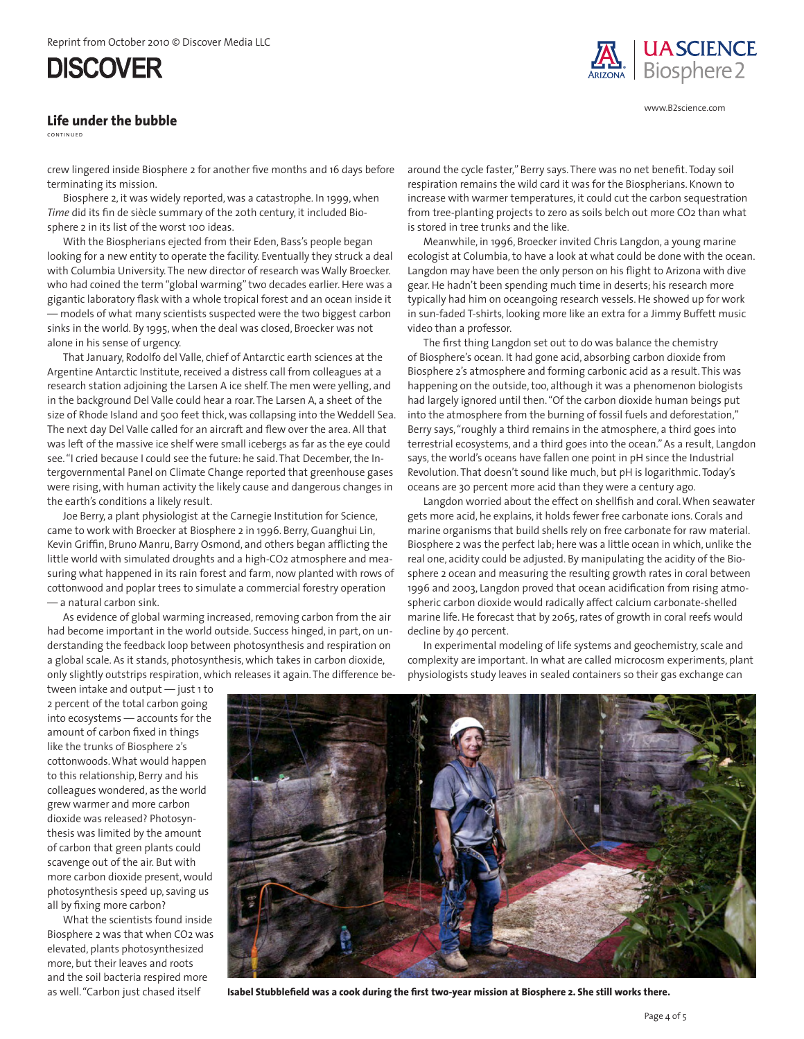#### **Life under the bubble**

continued

crew lingered inside Biosphere 2 for another five months and 16 days before terminating its mission.

Biosphere 2, it was widely reported, was a catastrophe. In 1999, when *Time* did its fin de siècle summary of the 20th century, it included Biosphere 2 in its list of the worst 100 ideas.

With the Biospherians ejected from their Eden, Bass's people began looking for a new entity to operate the facility. Eventually they struck a deal with Columbia University. The new director of research was Wally Broecker. who had coined the term "global warming" two decades earlier. Here was a gigantic laboratory flask with a whole tropical forest and an ocean inside it — models of what many scientists suspected were the two biggest carbon sinks in the world. By 1995, when the deal was closed, Broecker was not alone in his sense of urgency.

That January, Rodolfo del Valle, chief of Antarctic earth sciences at the Argentine Antarctic Institute, received a distress call from colleagues at a research station adjoining the Larsen A ice shelf. The men were yelling, and in the background Del Valle could hear a roar. The Larsen A, a sheet of the size of Rhode Island and 500 feet thick, was collapsing into the Weddell Sea. The next day Del Valle called for an aircraft and flew over the area. All that was left of the massive ice shelf were small icebergs as far as the eye could see. "I cried because I could see the future: he said. That December, the Intergovernmental Panel on Climate Change reported that greenhouse gases were rising, with human activity the likely cause and dangerous changes in the earth's conditions a likely result.

Joe Berry, a plant physiologist at the Carnegie Institution for Science, came to work with Broecker at Biosphere 2 in 1996. Berry, Guanghui Lin, Kevin Griffin, Bruno Manru, Barry Osmond, and others began afflicting the little world with simulated droughts and a high-CO2 atmosphere and measuring what happened in its rain forest and farm, now planted with rows of cottonwood and poplar trees to simulate a commercial forestry operation — a natural carbon sink.

As evidence of global warming increased, removing carbon from the air had become important in the world outside. Success hinged, in part, on understanding the feedback loop between photosynthesis and respiration on a global scale. As it stands, photosynthesis, which takes in carbon dioxide,

only slightly outstrips respiration, which releases it again. The difference be-

around the cycle faster," Berry says. There was no net benefit. Today soil respiration remains the wild card it was for the Biospherians. Known to increase with warmer temperatures, it could cut the carbon sequestration from tree-planting projects to zero as soils belch out more CO2 than what is stored in tree trunks and the like.

Meanwhile, in 1996, Broecker invited Chris Langdon, a young marine ecologist at Columbia, to have a look at what could be done with the ocean. Langdon may have been the only person on his flight to Arizona with dive gear. He hadn't been spending much time in deserts; his research more typically had him on oceangoing research vessels. He showed up for work in sun-faded T-shirts, looking more like an extra for a Jimmy Buffett music video than a professor.

The first thing Langdon set out to do was balance the chemistry of Biosphere's ocean. It had gone acid, absorbing carbon dioxide from Biosphere 2's atmosphere and forming carbonic acid as a result. This was happening on the outside, too, although it was a phenomenon biologists had largely ignored until then. "Of the carbon dioxide human beings put into the atmosphere from the burning of fossil fuels and deforestation," Berry says, "roughly a third remains in the atmosphere, a third goes into terrestrial ecosystems, and a third goes into the ocean." As a result, Langdon says, the world's oceans have fallen one point in pH since the Industrial Revolution. That doesn't sound like much, but pH is logarithmic. Today's oceans are 30 percent more acid than they were a century ago.

Langdon worried about the effect on shellfish and coral. When seawater gets more acid, he explains, it holds fewer free carbonate ions. Corals and marine organisms that build shells rely on free carbonate for raw material. Biosphere 2 was the perfect lab; here was a little ocean in which, unlike the real one, acidity could be adjusted. By manipulating the acidity of the Biosphere 2 ocean and measuring the resulting growth rates in coral between 1996 and 2003, Langdon proved that ocean acidification from rising atmospheric carbon dioxide would radically affect calcium carbonate-shelled marine life. He forecast that by 2065, rates of growth in coral reefs would decline by 40 percent.

In experimental modeling of life systems and geochemistry, scale and complexity are important. In what are called microcosm experiments, plant physiologists study leaves in sealed containers so their gas exchange can

tween intake and output — just 1 to 2 percent of the total carbon going into ecosystems — accounts for the amount of carbon fixed in things like the trunks of Biosphere 2's cottonwoods. What would happen to this relationship, Berry and his colleagues wondered, as the world grew warmer and more carbon dioxide was released? Photosynthesis was limited by the amount of carbon that green plants could scavenge out of the air. But with more carbon dioxide present, would photosynthesis speed up, saving us all by fixing more carbon?

What the scientists found inside Biosphere 2 was that when CO2 was elevated, plants photosynthesized more, but their leaves and roots and the soil bacteria respired more as well. "Carbon just chased itself



**Isabel Stubblefield was a cook during the first two-year mission at Biosphere 2. She still works there.**



www.B2science.com